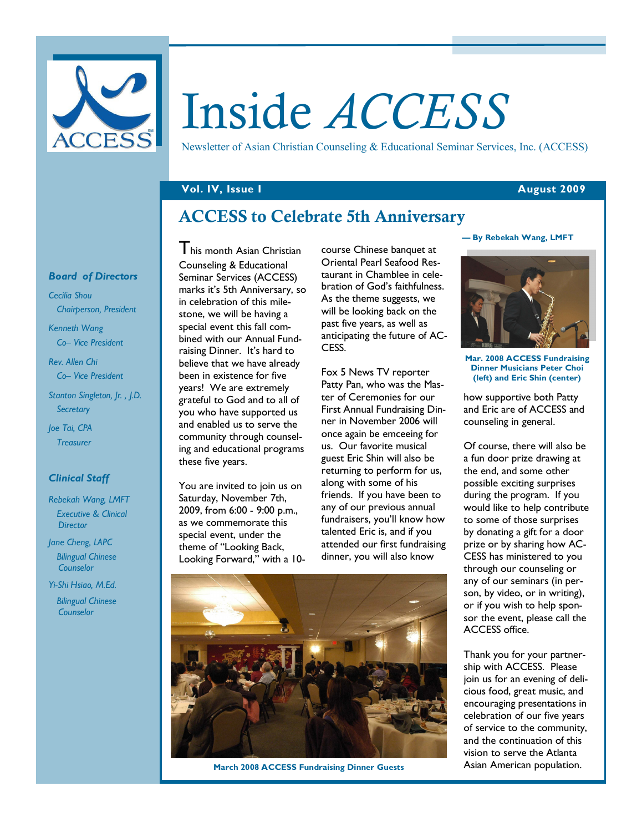

# Inside ACCESS

Newsletter of Asian Christian Counseling & Educational Seminar Services, Inc. (ACCESS)

### Vol. IV, Issue I August 2009

# ACCESS to Celebrate 5th Anniversary

### Board of Directors

Cecilia Shou Chairperson, President

Kenneth Wang Co– Vice President

Rev. Allen Chi Co– Vice President

Stanton Singleton, Jr. , J.D. **Secretary** 

Joe Tai, CPA **Treasurer** 

### Clinical Staff

Rebekah Wang, LMFT Executive & Clinical **Director** 

Jane Cheng, LAPC Bilingual Chinese Counselor

Yi-Shi Hsiao, M.Ed.

 Bilingual Chinese Counselor

This month Asian Christian Counseling & Educational Seminar Services (ACCESS) marks it's 5th Anniversary, so in celebration of this milestone, we will be having a special event this fall combined with our Annual Fundraising Dinner. It's hard to believe that we have already been in existence for five years! We are extremely grateful to God and to all of you who have supported us and enabled us to serve the community through counseling and educational programs these five years.

You are invited to join us on Saturday, November 7th, 2009, from 6:00 - 9:00 p.m., as we commemorate this special event, under the theme of "Looking Back, Looking Forward," with a 10course Chinese banquet at Oriental Pearl Seafood Restaurant in Chamblee in celebration of God's faithfulness. As the theme suggests, we will be looking back on the past five years, as well as anticipating the future of AC-CESS.

Fox 5 News TV reporter Patty Pan, who was the Master of Ceremonies for our First Annual Fundraising Dinner in November 2006 will once again be emceeing for us. Our favorite musical guest Eric Shin will also be returning to perform for us, along with some of his friends. If you have been to any of our previous annual fundraisers, you'll know how talented Eric is, and if you attended our first fundraising dinner, you will also know



March 2008 ACCESS Fundraising Dinner Guests

### — By Rebekah Wang, LMFT



Mar. 2008 ACCESS Fundraising Dinner Musicians Peter Choi (left) and Eric Shin (center)

how supportive both Patty and Eric are of ACCESS and counseling in general.

Of course, there will also be a fun door prize drawing at the end, and some other possible exciting surprises during the program. If you would like to help contribute to some of those surprises by donating a gift for a door prize or by sharing how AC-CESS has ministered to you through our counseling or any of our seminars (in person, by video, or in writing), or if you wish to help sponsor the event, please call the ACCESS office.

Thank you for your partnership with ACCESS. Please join us for an evening of delicious food, great music, and encouraging presentations in celebration of our five years of service to the community, and the continuation of this vision to serve the Atlanta Asian American population.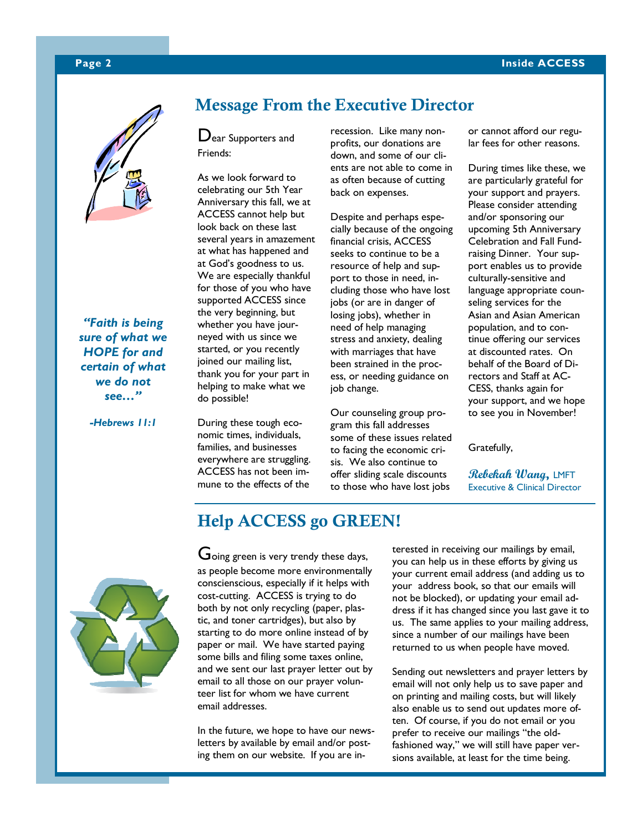### Page 2 Inside ACCESS



"Faith is being sure of what we HOPE for and certain of what we do not see…"

-Hebrews 11:1

# Message From the Executive Director

Dear Supporters and Friends:

As we look forward to celebrating our 5th Year Anniversary this fall, we at ACCESS cannot help but look back on these last several years in amazement at what has happened and at God's goodness to us. We are especially thankful for those of you who have supported ACCESS since the very beginning, but whether you have journeyed with us since we started, or you recently joined our mailing list, thank you for your part in helping to make what we do possible!

During these tough economic times, individuals, families, and businesses everywhere are struggling. ACCESS has not been immune to the effects of the

recession. Like many nonprofits, our donations are down, and some of our clients are not able to come in as often because of cutting back on expenses.

Despite and perhaps especially because of the ongoing financial crisis, ACCESS seeks to continue to be a resource of help and support to those in need, including those who have lost jobs (or are in danger of losing jobs), whether in need of help managing stress and anxiety, dealing with marriages that have been strained in the process, or needing guidance on job change.

Our counseling group program this fall addresses some of these issues related to facing the economic crisis. We also continue to offer sliding scale discounts to those who have lost jobs

or cannot afford our regular fees for other reasons.

During times like these, we are particularly grateful for your support and prayers. Please consider attending and/or sponsoring our upcoming 5th Anniversary Celebration and Fall Fundraising Dinner. Your support enables us to provide culturally-sensitive and language appropriate counseling services for the Asian and Asian American population, and to continue offering our services at discounted rates. On behalf of the Board of Directors and Staff at AC-CESS, thanks again for your support, and we hope to see you in November!

Gratefully,

Rebekah Wang, LMFT Executive & Clinical Director



# Help ACCESS go GREEN!

Going green is very trendy these days, as people become more environmentally conscienscious, especially if it helps with cost-cutting. ACCESS is trying to do both by not only recycling (paper, plastic, and toner cartridges), but also by starting to do more online instead of by paper or mail. We have started paying some bills and filing some taxes online, and we sent our last prayer letter out by email to all those on our prayer volunteer list for whom we have current email addresses.

In the future, we hope to have our newsletters by available by email and/or posting them on our website. If you are interested in receiving our mailings by email, you can help us in these efforts by giving us your current email address (and adding us to your address book, so that our emails will not be blocked), or updating your email address if it has changed since you last gave it to us. The same applies to your mailing address, since a number of our mailings have been returned to us when people have moved.

Sending out newsletters and prayer letters by email will not only help us to save paper and on printing and mailing costs, but will likely also enable us to send out updates more often. Of course, if you do not email or you prefer to receive our mailings "the oldfashioned way," we will still have paper versions available, at least for the time being.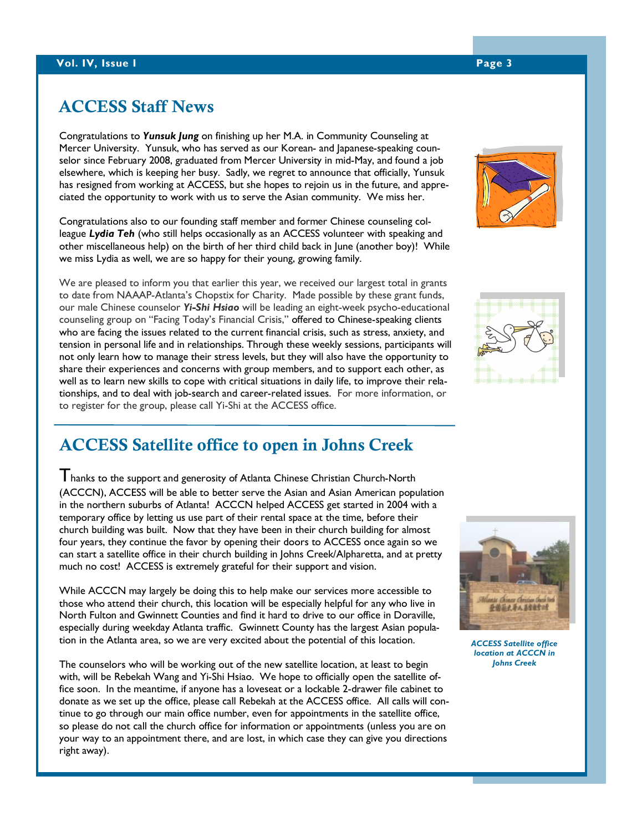# ACCESS Staff News

Congratulations to Yunsuk Jung on finishing up her M.A. in Community Counseling at Mercer University. Yunsuk, who has served as our Korean- and Japanese-speaking counselor since February 2008, graduated from Mercer University in mid-May, and found a job elsewhere, which is keeping her busy. Sadly, we regret to announce that officially, Yunsuk has resigned from working at ACCESS, but she hopes to rejoin us in the future, and appreciated the opportunity to work with us to serve the Asian community. We miss her.

Congratulations also to our founding staff member and former Chinese counseling colleague Lydia Teh (who still helps occasionally as an ACCESS volunteer with speaking and other miscellaneous help) on the birth of her third child back in June (another boy)! While we miss Lydia as well, we are so happy for their young, growing family.

We are pleased to inform you that earlier this year, we received our largest total in grants to date from NAAAP-Atlanta's Chopstix for Charity. Made possible by these grant funds, our male Chinese counselor Yi-Shi Hsiao will be leading an eight-week psycho-educational counseling group on "Facing Today's Financial Crisis," offered to Chinese-speaking clients who are facing the issues related to the current financial crisis, such as stress, anxiety, and tension in personal life and in relationships. Through these weekly sessions, participants will not only learn how to manage their stress levels, but they will also have the opportunity to share their experiences and concerns with group members, and to support each other, as well as to learn new skills to cope with critical situations in daily life, to improve their relationships, and to deal with job-search and career-related issues. For more information, or to register for the group, please call Yi-Shi at the ACCESS office.

# ACCESS Satellite office to open in Johns Creek

Thanks to the support and generosity of Atlanta Chinese Christian Church-North (ACCCN), ACCESS will be able to better serve the Asian and Asian American population in the northern suburbs of Atlanta! ACCCN helped ACCESS get started in 2004 with a temporary office by letting us use part of their rental space at the time, before their church building was built. Now that they have been in their church building for almost four years, they continue the favor by opening their doors to ACCESS once again so we can start a satellite office in their church building in Johns Creek/Alpharetta, and at pretty much no cost! ACCESS is extremely grateful for their support and vision.

While ACCCN may largely be doing this to help make our services more accessible to those who attend their church, this location will be especially helpful for any who live in North Fulton and Gwinnett Counties and find it hard to drive to our office in Doraville, especially during weekday Atlanta traffic. Gwinnett County has the largest Asian population in the Atlanta area, so we are very excited about the potential of this location.

The counselors who will be working out of the new satellite location, at least to begin with, will be Rebekah Wang and Yi-Shi Hsiao. We hope to officially open the satellite office soon. In the meantime, if anyone has a loveseat or a lockable 2-drawer file cabinet to donate as we set up the office, please call Rebekah at the ACCESS office. All calls will continue to go through our main office number, even for appointments in the satellite office, so please do not call the church office for information or appointments (unless you are on your way to an appointment there, and are lost, in which case they can give you directions right away).







ACCESS Satellite office location at ACCCN in Johns Creek